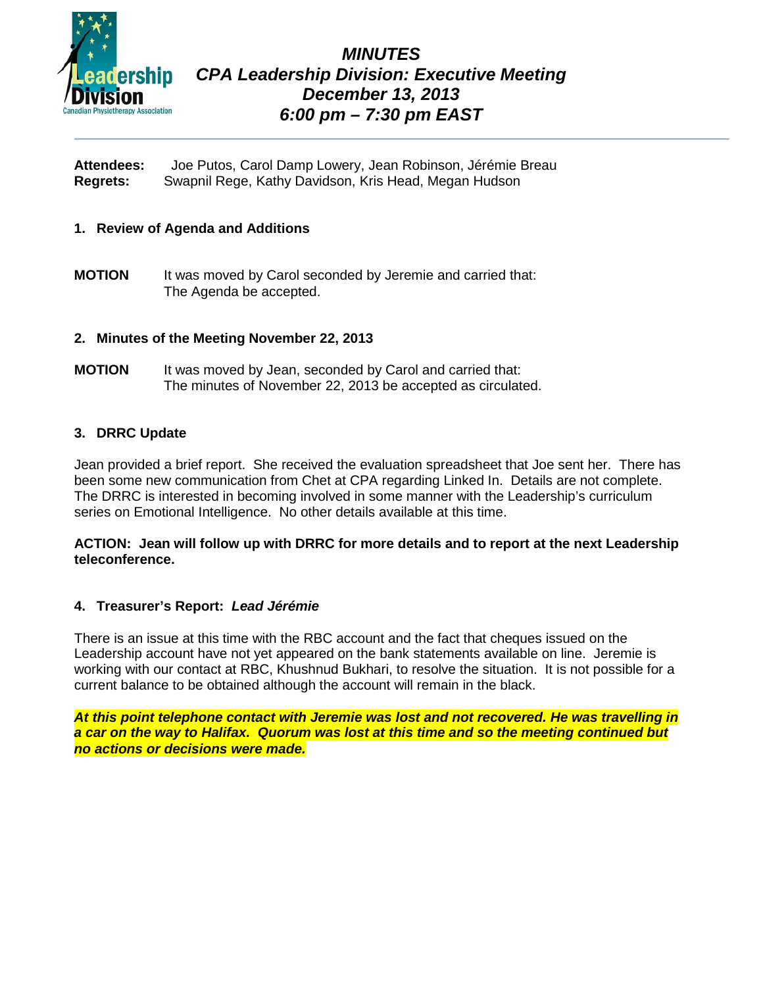

# *MINUTES CPA Leadership Division: Executive Meeting December 13, 2013 6:00 pm – 7:30 pm EAST*

**Attendees:** Joe Putos, Carol Damp Lowery, Jean Robinson, Jérémie Breau **Regrets:** Swapnil Rege, Kathy Davidson, Kris Head, Megan Hudson

# **1. Review of Agenda and Additions**

**MOTION** It was moved by Carol seconded by Jeremie and carried that: The Agenda be accepted.

# **2. Minutes of the Meeting November 22, 2013**

**MOTION** It was moved by Jean, seconded by Carol and carried that: The minutes of November 22, 2013 be accepted as circulated.

# **3. DRRC Update**

Jean provided a brief report. She received the evaluation spreadsheet that Joe sent her. There has been some new communication from Chet at CPA regarding Linked In. Details are not complete. The DRRC is interested in becoming involved in some manner with the Leadership's curriculum series on Emotional Intelligence. No other details available at this time.

# **ACTION: Jean will follow up with DRRC for more details and to report at the next Leadership teleconference.**

# **4. Treasurer's Report:** *Lead Jérémie*

There is an issue at this time with the RBC account and the fact that cheques issued on the Leadership account have not yet appeared on the bank statements available on line. Jeremie is working with our contact at RBC, Khushnud Bukhari, to resolve the situation. It is not possible for a current balance to be obtained although the account will remain in the black.

*At this point telephone contact with Jeremie was lost and not recovered. He was travelling in a car on the way to Halifax. Quorum was lost at this time and so the meeting continued but no actions or decisions were made.*